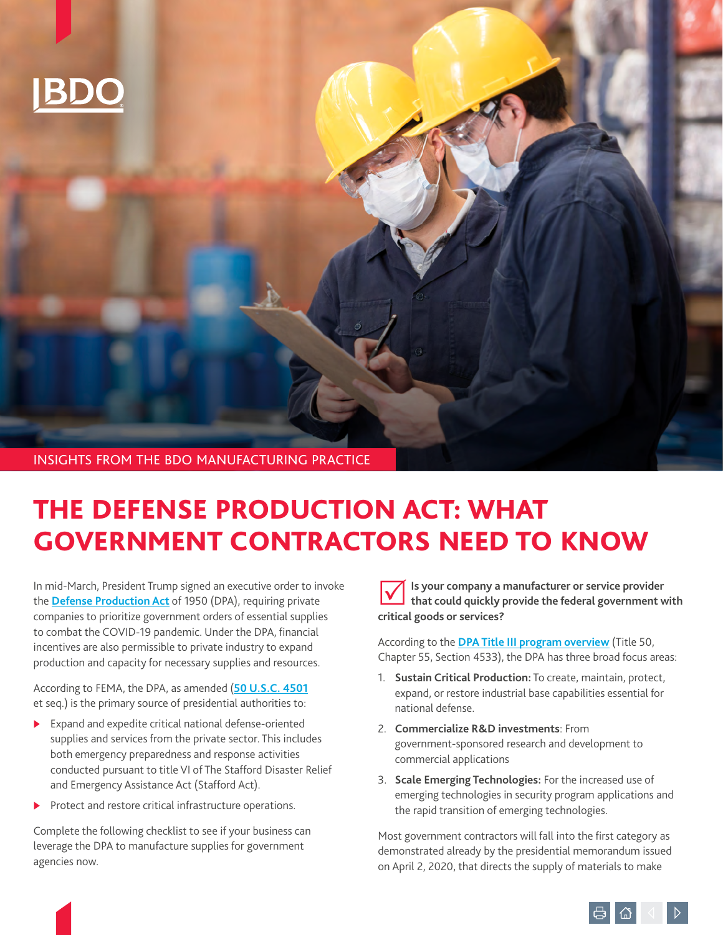

# THE DEFENSE PRODUCTION ACT: WHAT GOVERNMENT CONTRACTORS NEED TO KNOW

In mid-March, President Trump signed an executive order to invoke the **[Defense Production Act](https://www.fema.gov/news-release/2020/03/20/use-defense-production-act-authorities-support-pandemic-response)** of 1950 (DPA), requiring private companies to prioritize government orders of essential supplies to combat the COVID-19 pandemic. Under the DPA, financial incentives are also permissible to private industry to expand production and capacity for necessary supplies and resources.

According to FEMA, the DPA, as amended (**[50 U.S.C. 4501](https://www.law.cornell.edu/uscode/text/50/4501)** et seq.) is the primary source of presidential authorities to:

- $\blacktriangleright$  Expand and expedite critical national defense-oriented supplies and services from the private sector. This includes both emergency preparedness and response activities conducted pursuant to title VI of The Stafford Disaster Relief and Emergency Assistance Act (Stafford Act).
- $\blacktriangleright$  Protect and restore critical infrastructure operations.

Complete the following checklist to see if your business can leverage the DPA to manufacture supplies for government agencies now.

**Is your company a manufacturer or service provider that could quickly provide the federal government with critical goods or services?** 

According to the **[DPA Title III program overview](https://www.businessdefense.gov/DPA-Title-III/Overview/)** (Title 50, Chapter 55, Section 4533), the DPA has three broad focus areas:

- 1. **Sustain Critical Production:** To create, maintain, protect, expand, or restore industrial base capabilities essential for national defense.
- 2. **Commercialize R&D investments**: From government-sponsored research and development to commercial applications
- 3. **Scale Emerging Technologies:** For the increased use of emerging technologies in security program applications and the rapid transition of emerging technologies.

Most government contractors will fall into the first category as demonstrated already by the presidential memorandum issued on April 2, 2020, that directs the supply of materials to make